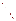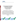# **Environmental Technology Verification Program**  Advanced Monitoring Systems Center

Test/QA Plan for Verification of Enzyme-Linked Immunosorbent Assay (ELISA) Test Kits for the Quantitative Determination of Endocrine Disrupting Compounds (EDCs) in Aqueous Phase Samples

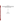# **Verification of Enzyme-Linked Immunosorbent Assay (ELISA) Test Kits for the Quantitative Determination of Endocrine Disrupting Compounds (EDCs) in Aqueous Phase Samples**

**June 5, 2008** 

**Prepared by** 

**Battelle 505 King Avenue Columbus, OH 43201-2693**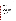# **TABLE OF CONTENTS**

| Section                          |                                                              | Page |
|----------------------------------|--------------------------------------------------------------|------|
|                                  |                                                              |      |
| A <sub>1</sub>                   |                                                              |      |
| A <sub>2</sub>                   |                                                              |      |
| A <sub>3</sub><br>A <sub>4</sub> |                                                              |      |
| A <sub>5</sub>                   | QUALITY OBJECTIVES AND CRITERIA FOR MEASUREMENT DATA 17      |      |
| A6                               |                                                              |      |
|                                  |                                                              |      |
|                                  |                                                              |      |
| B <sub>1</sub>                   |                                                              |      |
| B <sub>2</sub>                   |                                                              |      |
| B <sub>3</sub>                   |                                                              |      |
| <b>B4</b>                        |                                                              |      |
| B <sub>5</sub>                   | INSTRUMENT/EQUIPMENT TESTING, INSPECTION, AND MAINTENANCE 35 |      |
| <b>B6</b>                        |                                                              |      |
| B7<br>B <sub>8</sub>             |                                                              |      |
| <b>B9</b>                        |                                                              |      |
|                                  |                                                              |      |
|                                  |                                                              |      |
| C <sub>1</sub>                   |                                                              |      |
| C <sub>2</sub>                   |                                                              |      |
|                                  |                                                              |      |
|                                  |                                                              |      |
| D <sub>1</sub>                   | DATA REVIEW, VALIDATION, AND VERIFICATION REQUIREMENTS  43   |      |
| D2                               |                                                              |      |
| D <sub>3</sub>                   |                                                              |      |
|                                  |                                                              |      |
|                                  |                                                              |      |
| E1                               |                                                              |      |
|                                  |                                                              |      |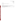| List of Figures | <u>Page</u> |
|-----------------|-------------|
|                 |             |

# List of Tables

| Table 1. ELISA Test Kit Evaluation Responsibilities for Each Participating Laboratory  14 |  |
|-------------------------------------------------------------------------------------------|--|
|                                                                                           |  |
|                                                                                           |  |
|                                                                                           |  |
|                                                                                           |  |
|                                                                                           |  |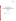**ETV Advanced Monitoring Systems Center** 

**Test/QA Plan for Verification of Enzyme-Linked Immunosorbent Assay (ELISA) Test Kits for the Quantitative Determination of Endocrine Disrupting Compounds (EDCs) In Aqueous Phase Samples** 

**June 5, 2008** 

**APPROVAL:** 

**Name \_\_\_\_\_\_\_\_\_\_\_\_\_\_\_\_\_\_\_\_\_\_\_\_\_\_\_\_\_\_\_\_\_\_** 

**Company \_\_\_\_\_\_\_\_\_\_\_\_\_\_\_\_\_\_\_\_\_\_\_\_\_\_\_\_\_\_\_** 

**Date \_\_\_\_\_\_\_\_\_\_\_\_\_\_\_\_\_\_\_\_\_\_\_\_\_\_\_\_\_\_\_\_\_\_\_**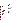# **DISTRIBUTION LIST**

Lauren Drees Doug Grosse Scott Jacobs Eric Kleiner Marc Mills U.S. Environmental Protection Agency National Risk Management Research Laboratory USEPA Facilities 26 West Martin Luther King Drive Mail Code: N132C Cincinnati, OH 45268

John Curry Jennifer Gundersen Annie Hilliard Ronald Landy Dave Russell U.S. Environmental Protection Agency-Region 3 USEPA Environmental Science Center 701 Mapes Road *Mail Code:* 3EA21 Fort Meade, MD 20755-5350

Charles Steiner Dennis Wesolowski Larry Zintek U.S. Environmental Protection Agency-Region 5 77 West Jackson Boulevard *Mail Code:* ML-10C Chicago, IL 60604-3507

Keith Loftin Mike Meyer United States Geological Survey 4821 Quail Crest Place Lawrence, KS 66049-3839

Dan Bender Jim Lazorchak Tirumuru Reddy U.S. Environmental Protection Agency-NERL 26 W. Martin Luther King Dr. Cincinnati, OH 45268

Jeanette Van Emon U.S. Environmental Protection Agency-**HEASD** 944 East Harmon Avenue Las Vegas, NV 89119

Fernando Rubio Abraxis LLC 54 Steamwhistle Drive Warminster, PA 18974

Stephanie Buehler Amy Dindal Zachary Willenberg Battelle 505 King Ave. Columbus, OH 43201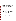# **SECTION A PROJECT MANAGEMENT**

#### <span id="page-7-0"></span>**A1 VERIFICATION TEST ORGANIZATION**

This test/quality assurance (QA) plan describes evaluating the performance of enzymelinked immunosorbent assay (ELISA) test kits for the determination of endocrine disrupting compounds (EDCs) in water through a verification test. The verification test will be conducted under the auspices of the U.S. Environmental Protection Agency (EPA) through the Environmental Technology Verification (ETV) Program. It will be performed under the ETV Advanced Monitoring Systems (AMS) Center which is managed by Battelle through a cooperative agreement with EPA. The scope of the AMS Center covers verification of monitoring technologies for contaminants and natural species in air, water, and soil. Testing of the enzyme-linked immunosorbent assays (ELISAs) will be conducted with multiple collaborating laboratories, including EPA Office of Research and Development (ORD) National Risk Management Research Laboratory (NRMRL), EPA ORD National Exposure Research Laboratory (NERL), EPA Region 3, EPA Region 5, and the United States Geological Survey (USGS). Staff from these participating laboratories will operate the technologies during the verification test and also conduct the reference analyses. The laboratory participation will be coordinated by EPA NRMRL, in collaboration with Battelle. Each participating vendor will provide Battelle or EPA NRMRL with their respective technology and will train the participating laboratory staff in their technology use as needed.

The organization chart in Figure 1 identifies the responsibilities of the organizations and individuals associated with the verification test. Roles and responsibilities are defined further below. Quality Assurance (QA) oversight will be provided by the Battelle Quality Manager and also by the EPA NRMRL Director of QA or her designee, at her discretion.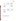<span id="page-8-0"></span>

**Figure 1. Organization Chart for the Verification Test (dotted lines indicate indirect reporting)**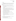## **A1.1 Battelle**

Dr. Stephanie Buehler is the AMS Center's Verification Test Coordinator for this test. In this role, Dr. Buehler will have overall responsibility for ensuring that the technical, schedule, and cost goals established for the verification test are met. Specifically, Dr. Buehler or her designee will:

Prepare the draft test/QA plan, verification reports, and verification statements.

- Revise the draft test/QA plan, verification reports, and verification statements in response to reviewers' comments.
- Establish a budget for the verification test and manage the effort to ensure the budget is not exceeded.

Assemble a team of qualified technical staff to conduct the verification test.

Assist Eric Kleiner of EPA NRMRL as needed in directing the team (Battelle, EPA, and USGS staff) in performing the verification test in accordance with this test/QA plan.

Ensure that all quality procedures specified in this test/QA plan and in the AMS Center

Quality Management  $Plan<sup>1</sup> (QMP)$  are followed.

Serve as a point of contact for vendor representatives.

Ensure that confidentiality of sensitive vendor information is maintained.

Assist vendors as needed during verification testing.

- Become familiar with the operation and maintenance of the technologies through instruction by the vendors, if needed.
- Respond to any issues raised in assessment reports, audits, or from test staff observations, and institute corrective action as necessary.
- Coordinate distribution of the final test/QA plan, verification reports, and verification statements.

Ms. Amy Dindal is Battelle's Manager for the AMS Center. As such, Ms. Dindal will oversee the various stages of verification testing. Ms. Dindal will:

Review the draft and final test/QA plan.

Review the draft and final verification reports and verification statements.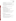Ensure that necessary Battelle resources, including staff and facilities, are committed to the verification test.

Ensure that confidentiality of sensitive vendor information is maintained.

Support Dr. Buehler in responding to any issues raised in assessment reports and audits.

Maintain communication with EPA's technical and quality managers.

Issue a stop work order if Battelle or EPA QA staff discovers adverse findings that will compromise test results.

Mr. Zachary Willenberg is Battelle's Quality Manager for the AMS Center.

Mr. Willenberg or his designee will:

Review the draft and final test/QA plan.

Conduct a technical systems audit at least once during the verification test.

Audit at least 10% of the verification data.

Prepare and distribute an assessment report for each audit.

Verify implementation of any necessary corrective action.

Request that Battelle's AMS Center Manager issue a stop work order if audits indicate that data quality is being compromised.

Provide a summary of the QA/QC activities and results for the verification reports. Review the draft and final verification reports and verification statements.

# **A1.2 Technology Vendors**

The responsibilities of the technology vendors are as follows:

Review and provide comments on the draft test/QA plan.

Accept (by signature of a company representative) the final test/QA plan prior to test initiation.

Provide their technology for evaluation during the verification test.

Provide all other equipment/supplies/reagents/consumables needed to operate their technology for the duration of the verification test.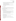- Supply training on the use of the technology, and provide written consent and instructions for test staff to carry out verification testing, including written instructions for routine operation of their technology, as necessary.
- Provide maintenance and repair support for their technology, on-site if necessary, throughout the duration of the verification test.
- Review and provide comments on the draft verification report and statement for their respective technology.

## **A1.3 EPA - AMS Center**

EPA's responsibilities in the AMS Center are based on the requirements stated in the "Environmental Technology Verification Program Quality Management Plan" (EPA QMP).<sup>2</sup> The roles of specific EPA staff are as follows:

Ms. Lauren Drees is the EPA NRMRL Director of QA. For the verification test, Ms. Drees or her designee will:

Review the draft test/QA plan.

Perform at her option one external technical systems audit during the verification test.

Notify the EPA AMS Center Project Officer of the need for a stop work order if the

external audit indicates that data quality is being compromised.

Prepare and distribute an assessment report summarizing results of the external audit. Review draft verification reports and verification statements.

Mr. Douglas Grosse is EPA's Project Officer for the AMS Center. Mr. Grosse will: Review the draft test/QA plan.

Approve the final test/QA plan.

Review the draft verification reports and verification statements.

- Oversee the EPA review process for the test/QA plan, verification reports, and verification statements.
- Coordinate the submission of verification reports and verification statements for final EPA approval.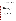• Contact the AMS Center Manager to issue a stop work order if an EPA assessment indicates that data quality is being compromised.

## **A1.4 EPA – NRMRL**

This test will be conducted in collaboration with EPA's NRMRL laboratory in Cincinnati, OH, who will be providing in-kind support for this test. Mr. Eric Kleiner will be the EPA NRMRL Coordinator, responsible for coordinating the testing at the EPA and USGS participating laboratories as well as coordination with Battelle. The responsibilities from EPA's NRMRL laboratory include:

Review the draft test/QA plan.

Prepare all split samples and reference samples for all phases of the study.

Ship split samples to the participating laboratories.

Coordinate sample analyses among the participating laboratories and ensure that all participants adhere to the agreed upon schedules.

Implement the test/QA plan and ensure that all QA procedures described are followed Plan reference analyses for all tested EDCs.

Conduct analyses on all 17-β-Estradiol (E2), 17-α-ethynylestradiol (EE2), and

alkylphenol (AP) ELISA test kits as well as gas chromatography-mass spectrometry

(GC-MS) reference analysis on specified hormone (E2 and EE2) test samples.

Coordinate QA/QC efforts of individual participating laboratories

Record observations about the operation of the ELISA test kits at the NRMRL facilities throughout the test.

Coordinate, receive, and compile results data from the participating laboratories. Interpret the resulting data from the test kits, in collaboration with the Verification Test

Coordinator, as necessary.

Provide raw data and data analyses results to the Verification Test Coordinator. Review the draft verification reports and verification statements.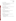#### **A1.5 EPA – NERL Cincinnati**

Scientists at EPA NERL in Cincinnati, OH will be providing in-kind support for this test. The responsibilities from EPA NERL-Cincinnati staff include:

Conduct analyses on all EE2 ELISA test kits.

Provide raw data and data analyses results to the Mr. Kleiner.

## **A1.6 EPA – NERL Las Vegas**

Scientists at EPA NERL in Las Vegas, NV will be providing in-kind support for this test. The responsibilities from EPA NERL-LV include:

Conduct analyses on all AP ELISA test kit.

Provide raw data and data analyses results to Mr. Kleiner.

#### **A1.7 EPA – Region 3**

Scientists in EPA Region 3 will be providing in-kind support for this test. The responsibilities from EPA Region 3 staff include:

Conduct analyses on all E2 and EE2 ELISA test kits.

Provide raw data and data analyses results Mr. Kleiner.

# **A1.8 EPA – Region 5**

Scientists in EPA Region 5 in will be providing in-kind support for this test. The responsibilities from EPA's Region 5 staff include:

Conduct analyses on all AP ELISA test kits.

Conduct GC-MS AP reference analyses.

Provide raw data, QC data, and data analyses results to Mr. Kleiner, including those from the GC-MS analyses.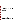#### <span id="page-14-0"></span>**A1.9 USGS – Kansas**

Scientists at the USGS laboratory in Kansas will be providing in-kind support for this

test. The responsibilities of the USGS-Kansas staff include:

Conduct analyses on all E2 ELISA test kits.

Provide raw data and data analyses results to Mr. Kleiner.

Table 1 provides a summary of the test kit evaluation responsibilities for each participating laboratory described in Section A1.

**Table 1. ELISA Test Kit Evaluation Responsibilities for Each Participating Laboratory** 

| <b>Responsibility</b>                            | <b>NRMRL</b> | <b>NERL-</b><br><b>Cinc</b> | <b>Region</b> | NERL-<br>LV | <b>Region</b> | USGS-<br><b>KS</b> |
|--------------------------------------------------|--------------|-----------------------------|---------------|-------------|---------------|--------------------|
| Sample Collection, Processing and Distribution   |              |                             |               |             |               |                    |
| Test Kit Evaluation - E2 magnetic particle ELISA |              |                             |               |             |               |                    |
| Test Kit Evaluation – E2 96 well ELISA           |              |                             |               |             |               |                    |
| Test Kit Evaluation – EE2 96 well ELISA          |              |                             |               |             |               |                    |
| Test Kit Evaluation - AP 96 well ELISA           |              |                             |               |             |               |                    |
| Reference Measurement - E2, EE2 GC-MS            |              |                             |               |             |               |                    |
| Reference Measurement - AP GC-MS                 |              |                             |               |             |               |                    |

# **A2 BACKGROUND**

The ETV Program's AMS Center conducts third-party performance testing of commercially available technologies that detect or monitor natural species or contaminants in air, water, and soil. The purpose of ETV is to provide objective and quality assured performance data on environmental technologies, so that users, developers, regulators, and consultants can make informed decisions about purchasing and applying these technologies. Stakeholder committees of buyers and users of such technologies recommend technology categories, and technologies within those categories, as priorities for testing.

EDCs are of increasing concern throughout the country. Several EPA Regions (such as Region 3, Region 5, and Region 8) have undertaken activities to monitor for these compounds.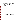<span id="page-15-0"></span>Several states are considering including monitoring for EDCs in their regulatory programs (Pennsylvania Department of Environmental Protection collaborative monitoring program with USGS and State of California National Pollutant Discharge Elimination System program). There is great public concern regarding the potential of EDCs to interfere with both human, domestic animal, and wildlife reproduction, as manifest in the numerous reports in the peer reviewed literature and the public press.

Presently, GC-MS, high performance liquid chromatography (HPLC), and liquid chromatography-mass spectrometry (LC-MS) are the primary methods being used for detecting these compounds. GC-MS was primarily used early on, making it one of the more established methods for detecting these compounds, so GC-MS will serve as the reference method for this test. Immunoassay techniques, particularly enzyme-linked immunosorbent assay (ELISA), are becoming increasingly popular in the field of environmental analysis due to their high sensitivity, ease of use, short analysis time, and cost-effectiveness.

# **A3 VERIFICATION TEST DESCRIPTION AND SCHEDULE**

## **A3.1 Summary of Technology Category and Verification Test**

Technologies to be evaluated in this verification test are ELISA test kits. The basis of immunoassay analytical detection is the capability of antibodies to specifically recognize and form stable complexes with antigens. Immunoassays employ antibodies as analytical reagents. While both chemical and manufacturer specific, ELISA kits operate on the basis of competition between an enzyme conjugate and the chemical in the sample for a limited number of binding sites on the antibody coated plate. The extent of color development is inversely proportional to the amount of chemical in the sample or standard. The higher the concentration of a specific steroid or other EDC chemical in the sample, the less color reaction produced and recorded using a standard microtiter plate reader or tube photometer.

This technology could be a beneficial technique for the EPA regional offices and EPA ORD as well as state and local clients in that the ELISA technique is potentially much faster and more cost effective than traditional GC-MS and LC-MS methods. The cost of analyzing samples for one analyte by ELISA can range from \$17 to \$25 per sample, depending on the number of replicates run, while GC-MS analysis of samples can cost between \$500 and \$900 per sample.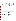<span id="page-16-0"></span>Also, the analysis time for ELISA is typically one day, as compared to GC-MS, which is typically 2 to 3 weeks.

This verification test will be an evaluation of commercially available ELISA kits. These ELISA kits will be used to quantitate, per the manufacturer protocols, three EDCs, 17-β-Estradiol (E2), 17-α-Ethynylestradiol (EE2), and Nonylphenol (NP), in four different matrices. EPA and USGS laboratories will use the ELISA kits (according to Table 1) to quantitate triplicate spiked samples for hormones (E2 and EE2) and/or NP, which will be prepared and shipped by EPA NRMRL. Note that NP is the target analyte of interest, but the ELISA test kits are targeted for the general class of AP, which includes NP. The test will be conducted in four phases, each phase being a different aqueous matrix.

## **A3.2 Verification Test Schedule**

Table 2 shows the planned schedule of testing and data analysis/reporting activities to be conducted in this verification test.

| <b>Table 2. Planned Verification Test Schedule</b> |  |  |  |  |
|----------------------------------------------------|--|--|--|--|
|----------------------------------------------------|--|--|--|--|

| Month            | <b>Testing Activities</b>              | <b>Data Analysis and Reporting</b>                |
|------------------|----------------------------------------|---------------------------------------------------|
| June 2008        | Phase I                                | Review and compile test data records as they      |
|                  |                                        | become available.                                 |
|                  |                                        | Review and summarize verification staff           |
|                  |                                        | observations.                                     |
| <b>July 2008</b> | Phase II                               | See Phase I                                       |
| August 2008      | Phase III                              | See Phase I                                       |
| September 2008   | Phase IV                               | Prepare report templates and complete common      |
|                  |                                        | sections of reports.                              |
|                  |                                        | Begin evaluating and analyzing available data     |
|                  |                                        | generated during testing.                         |
| October 2008     | Prepare draft verification reports and | Complete draft reports and submit for vendor and  |
|                  | statements                             | peer review                                       |
| November 2008    | Prepare final verification reports and | Revise draft reports and submit final reports for |
|                  | statements                             | EPA approval                                      |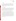#### <span id="page-17-0"></span> **A3.3 Test Site**

This project will be a collaborative effort between EPA NRMRL, EPA NERL, EPA Region 3, EPA Region 5, USGS, and the Battelle AMS Center, as outlined in Section A1. As discussed in Section A1, the verification test will be conducted in various EPA and USGS laboratories with different combinations of test kits and samples being evaluated at different laboratories (as outlined in Table 1).

## **A3.4 Health and Safety**

Participating laboratories will conduct all verification testing and reference measurements following the safety and health protocols in place for the laboratory and facilities. This includes maintaining a safe work environment and a current awareness of handling potentially toxic chemicals. Exposure to potentially toxic chemicals will be minimized, appropriate personal protective equipment will be worn, and safe laboratory practices will be followed.

## **A4 QUALITY OBJECTIVES AND CRITERIA FOR MEASUREMENT DATA**

In performing the verification test, Battelle and all participating laboratory staff will follow the technical and QA procedures specified in this test/QA plan and will comply with the data quality requirements in the AMS Center QMP.<sup>1</sup> The primary objective of this verification test is to evaluate whether or not commercially available ELISA kits are able to accurately and reliably measure environmental samples in different matrices for selected EDCs in comparison to GC-MS methods. Additionally, this verification test will document verification testing staff observations to assess other performance characteristics of the ELISA test kits. Below is a discussion of the quality objectives and the criteria for measurement data that have been established to assure that the test objectives are met.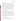#### <span id="page-18-0"></span>**A4.1 Quality Objectives**

Data quality objectives indicate the minimum data quality required to meet the ELISA test kit verification objectives. Data quality objectives for this verification test include those related to the reference method performance, those related to the ELISA test kit technology performance, as well as those related to documenting verification testing staff observations. Quantitative and qualitative measurement quality objectives have been established for this test to define required data quality for reference measurement data. Table 3 presents the acceptance criteria for the reference method critical measurements. The reference method measurement quality will be assured by adherence to these criteria. Any data or measurement quality criteria associated with the operation of the ELISA test kit technologies for critical measurements will be provided by the vendor. The Battelle Quality Manager or his designee will perform a technical systems audit (TSA) at least once during this verification test to review these QA/QC requirements. The EPA NRMRL Director of QA or her designee also may conduct an independent TSA, at her discretion.

## **A5 SPECIAL TRAINING/CERTIFICATION**

Documentation of training related to technology testing, data analysis, and reporting is maintained for all Battelle technical staff in training files at their respective Battelle location. Similar documentation of technical staff from laboratories conducting testing during this verification test will reside at their respective laboratory, as appropriate. The Battelle Quality Manager may verify the presence of appropriate training records for all participating technical staff prior to the start of testing. Staff that operate and/or maintain an evaluated technology during the verification test may be trained by the technology vendor prior to the start of testing, as needed. If such training occurs, Battelle or NRMRL will document this training with a consent form, signed by the vendor that states which specific staff have been trained and determined by the vendor to be competent in operation of the vendor's technology.

#### **A6 DOCUMENTATION AND RECORDS**

 The records for this verification test will include the test/QA plan, sample chain-ofcustody forms, laboratory record books (LRB), data collection forms, electronic files (both raw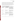<span id="page-19-0"></span>data and spreadsheets of sample results or statistical calculations), and the final verification reports and verification statements. Each laboratory will provide analytical results and supporting data in electronic format. The electronic copy data report will contain the final analytical results for each field sample plus the quality control sample data required in Table 4, where applicable. The electronic copy deliverables will also consist of final report tables and a complete data package that enables traceability of final reported data to the raw data.

| <b>Sample</b>                                                         | <b>Minimum Acceptance</b><br><b>Criteria</b>                                          | <b>Corrective Action</b>                                                                                                                                                                                                                                             |
|-----------------------------------------------------------------------|---------------------------------------------------------------------------------------|----------------------------------------------------------------------------------------------------------------------------------------------------------------------------------------------------------------------------------------------------------------------|
| Method Procedural<br>Blank (MB)                                       | Target analytes $\leq 5$ x method<br>detection limit (MDL)                            | Reprocess (extract) sample batch. If<br>batch cannot be re-processed; flag all<br>field sample data that are >RL, unless<br>the concentrations in the related samples<br>are $>5X$ the concentrations detected in<br>the MB. In this case no flag is required.       |
| <b>Instrument Solvent</b><br><b>Blank</b>                             | Target analytes < lowest<br>calibration standard                                      | Review data and analysis for possible<br>sources of contamination. Reanalyze<br>and/or document corrective action. Data<br>must be flagged.                                                                                                                          |
| Surrogate Spike<br>(SIS)                                              | 60-120% recovery or as<br>specified in method standard<br>operating procedures (SOPs) | Review data. Discuss with EPA<br>NRMRL Coordinator. Reanalyze, re-<br>extract, and/or document corrective<br>action and deviations.                                                                                                                                  |
| <b>Laboratory Duplicate</b><br>(Relative Percent Difference -<br>RPD) | Target compounds $\leq 30\%$ RPD<br>(Concentration must be $> 2x$<br>MDL)             | Review data to assess impact of matrix.<br>If other QC data are acceptable, then<br>flag associated QC data. If QC data are<br>not affected by matrix failure, then re-<br>process duplicate. If not possible, then<br>notify client and flag associated QC<br>data. |

|  | <b>Table 3. Critical Measurements for Reference Method</b> |
|--|------------------------------------------------------------|
|--|------------------------------------------------------------|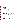Data packages will include any of the following elements that are applicable to the analysis:

- Data package narrative
- Final data report tables
- List of current RLs and MDLs for the preparation and analysis methods used for sample processing
- Entire package of sample custody documentation, including sample receipt form
- Sample processing records
- ELISA test kits results
- GC-MS results and records, including:
	- **–** Instrument tuning
	- **–** Calibration data
	- **–** Calibration verifications
	- **–** Surrogate recoveries
	- **–** Internal standard response and retention times
	- **–** All QC data required by the analytical method
	- **–** Run logs
	- **–** Raw data

The lead laboratory staff will receive and review the data packages submitted by their respective laboratories for completeness, acceptability, and compliance with the requirements of this TQAP before submitting them to the EPA NRMRL Coordinator. EPA NRMRL in collaboration with EPA Region 3 will prepare a draft data summary. This summary will include:

- Calibration data for all ELISA and GC-MS analysis.
- Analytical results and statistical evaluation of analytical results.
- QA results to validate the quality and usability of the data generated.

The data summary and all of the test records will be submitted to the Battelle Verification Test Coordinator for review. All records received by the Verification Test Coordinator will be maintained in the Verification Test Coordinator's office until the completion of the verification report at which time the records will be transferred to permanent storage at Battelle's Records Management Office at the conclusion of the verification test. All Battelle LRBs are stored indefinitely, either by the Verification Test Coordinator or Battelle's Records Management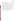Office. EPA will be notified before disposal of any files. Table 4 has further details regarding the data recording practices and responsibilities.

EPA NRMRL will also keep a copy of all final verification test files, although the official data records for the verification test will be maintained by Battelle (as described above). Once the study is complete, all files associated with the test including project management files and the draft data summary, will be archived by EPA NRMRL for at least 3 years. Laboratory raw data and supporting equipment records will be archived by each participating organization for at least three years. The location (e.g., specific personal computer, server, or media type and storage location) of final versions of the electronic files will be noted in the test records.

All written records must be in ink. Any corrections to notebook entries, or changes in recorded data, must be made with a single line through the original entry. The correction is then to be entered, initialed, and dated by the person making the correction. In all cases, strict confidentiality of data from each vendor's technology, and strict separation of data from different vendors' technology, will be maintained. Separate files (including manual records, printouts, and/or electronic data files) will be kept for each technology.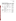ELISA Test Kits for EDCs in Water Test/QA Plan Page 22 of 46 Version 1.0 Date: 6/5/2008

| Data to Be<br><b>Recorded</b>                                                              | <b>Where Recorded</b>                                                                                                            | <b>How Often</b><br><b>Recorded</b>                                                                            | <b>By Whom</b>                | <b>Disposition of</b><br>Data                                                                                     |
|--------------------------------------------------------------------------------------------|----------------------------------------------------------------------------------------------------------------------------------|----------------------------------------------------------------------------------------------------------------|-------------------------------|-------------------------------------------------------------------------------------------------------------------|
| Dates times and<br>details of test events,                                                 | LRBs or data<br>recording forms, or<br>electronically                                                                            | Start/end of test<br>procedure, and at<br>each change of a test<br>parameter or change<br>of technology status | Participating<br>laboratories | Used to organize and<br>check test results:<br>manually<br>incorporated into<br>data spreadsheets as<br>necessary |
| Technology<br>calibration<br>information;                                                  | LRBs, data recording<br>forms, or<br>electronically                                                                              | At technology reader<br>calibration or<br>recalibration, as<br>applicable                                      | Participating<br>laboratories | Incorporated into<br>verification report as<br>necessary                                                          |
| Technology readings                                                                        | Recorded<br>electronically or<br>manually by the<br>operator or<br>electronically by the<br>technology reader, as<br>appropriate | Each sample and QC<br>analysis                                                                                 | Participating<br>laboratories | Converted to or<br>manually entered<br>into spreadsheets for<br>statistical analysis or<br>comparisons            |
| Sample collection<br>and reference<br>method analysis<br>procedures,<br>calibrations, etc. | LRBs, chain-of-<br>custody,<br>electronically, or<br>other data recording<br>forms                                               | Throughout sampling<br>and analysis<br>processes                                                               | Participating<br>laboratories | Retained as<br>documentation of<br>sample collection or<br>reference method<br>performance                        |
| Reference method<br>results                                                                | Electronically from<br>reference<br>measurement<br>technology                                                                    | Every sample or QC<br>analysis                                                                                 | Participating<br>laboratories | Transferred to<br>spreadsheets for<br>calculation of results<br>and statistical<br>analysis or<br>comparisons     |

# <span id="page-22-0"></span>**Table 4. Summary of Data Recording Process**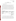# **SECTION B MEASUREMENT AND DATA ACQUISITION**

#### <span id="page-23-0"></span>**B1 EXPERIMENTAL DESIGN**

This verification test will be an evaluation of four commercially available ELISA kits to quantitate, per the manufacturer protocols, three EDCs, including 17-β-Estradiol (E2), 17-α-Ethynylestradiol (EE2), or Nonylphenol (NP). More detailed information on the uses of the EDCs to be tested is provided in Table 5. Note that NP is the target analyte of interest, but the ELISA test kits are targeted for the general class of AP, which includes NP. Kits to be evaluated may consist of varying methods of operation, such as 96-well microtiter plate kits and magnetic particle kits. The participating laboratories will use the ELISA kits to quantitate triplicate spiked samples for hormones (E2 and EE2) and/or NP, which will be prepared and shipped by EPA NRMRL. The test will be conducted in four phases, each phase evaluating a different aqueous matrix.

| Analyte                       | <b>Synonyms</b>                         | CAS#          | <b>Uses</b>                                      |
|-------------------------------|-----------------------------------------|---------------|--------------------------------------------------|
| $(17\beta)$ -Estra-1,3,5(10)- | $17$ - $\beta$ -Estradiol (E2)          | $50 - 28 - 2$ | Naturally occurring                              |
| triene-3,17-diol              |                                         |               | hormone                                          |
| $17\alpha$ -Ethynyl-          | $17$ - $\alpha$ -Ethynylestradiol (EE2) | $57-63-6$     | Synthetic estrogen                               |
| $1,3,5(10)$ -estratriene-     |                                         |               | found in birth control                           |
| $3,17b$ -diol                 |                                         |               |                                                  |
| Nonylphenol                   | NP                                      | 84852-15-3    | detergents, surfactants,<br>emulsifiers, wetting |
|                               |                                         |               | agents, cosmetics,                               |
|                               |                                         |               | cleaners, pesticides,                            |
|                               |                                         |               | paints                                           |

**Table 5. Target Analytes** 

ELISA kits are meant to be user friendly and easy to use following step-by-step instructions. They are designed to be compound specific, only measuring the compound that it was made to detect. Each kit will be evaluated on its ability to quantitate the compound that it is designed to detect and how well the kit results compare to GC-MS results of the same samples. Some ELISA kits may react with compounds similar to the target compound, known as cross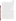reactivity. During each phase of the study, background levels of the kits target compounds will be measured by GC-MS in that particular matrix as well as some of the compounds with which the kits have cross-reactivity, as stated by the vendor. For some of the compounds for which there is cross-reactivity, there may be no established analytical methods available by GC-MS to detect these compounds at the concentrations and in the matrices evaluated per this test/QA plan. Blank samples of each matrix (i.e., not spiked with E2, EE2, or NP) will also be evaluated on the ELISA test kits to determine if any of the cross-reactive compounds present in the matrix (as determined through GC-MS analysis) might be interfering with the test kit results.

Each kit will be operated following the manufacturer's instructions, which may include the use of a glass fiber filter (GFF) and solid-phase extraction (SPE). The purpose of SPE is to clean as well as concentrate the sample in order to get the sample concentration into the kit's analytical range. The ELISA test kits often do not come with GFFs and SPEs. Thus, this equipment will be purchased by NRMRL and used with the test kits, as appropriate. The same GFF and SPE will be used across laboratories and throughout testing.

This verification test will be done in four phases. Phase I will consist of a clean water sample (de-ionized (DI) super-Q water) being spiked with a single concentration of E2, EE2, and NP, split into single samples, and submitted to the ELISA kit users to measure the concentration, in triplicate. The split sample, as well as the un-spiked, matrix background sample, will also be simultaneously sent for reference GC-MS analysis of E2, EE2, NP, and alkylphenol ethoxylates (APEs), which are known to cause cross-reactivity with some of the ELISA kits. Phase II will consist of environmental surface water samples going through the same process as Phase I. Phase III will consist of a more complex matrix of wastewater treatment plant (WWTP) effluent samples going through the same process. Phase IV will consist of even a more complex matrix of WWTP influent samples going through the same process. Details on the sample matrices, spiking levels, and spiking procedures for each Phase are provided in Section B1.1. All spike concentrations used in each phase of this verification test are based on real-world concentrations found in environmental samples. Specific concentrations of E2, EE2, and NP, as presented in Section B1.1, will be spiked into the sample matrix for each phase, regardless of any background concentrations of these compounds that may be present in the collected water. The spiked concentrations will be added to any background hormone concentrations that are found via GC-MS analysis of matrix blanks to get the total expected hormone concentration for a given sample.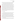The ELISA kit results from the various laboratories for a given kit will be compared to each other and compared to GC-MS results for repeatability, reproducibility, and percent bias.

ELISA test kit technologies will be tested only in a laboratory under controlled conditions; no field testing will take place during this verification test. This will allow comparison of the technology results to a reference method under a specified set of conditions. The analyses will be performed according to the vendor's recommended procedures as described in the user's instructions or manual, or during training provided to the operators. Similarly, calibration and maintenance of the technology readers (i.e., microplate readers and photometers) will be performed as specified by the vendor. Results from the technologies being verified will be recorded manually by the operator on appropriate data sheets or captured in an electronic data system and then transferred manually or electronically for further data workup. Qualitative characteristics of each technology such as ease of use will be assessed through observations made by the operators throughout the verification test. The results from each technology will be reported individually. No direct comparison will be made between technologies from different vendors, but each vendor's technology will undergo similar testing so it is convenient for end users to evaluate the ETV testing results.

#### **B1.1 Test Procedures**

This section describes specific test procedures for this verification test of ELISA test kits. Specific step-by-step analysis procedures will be provided in each kit's instructions for the ELISA test kits and in standard operating procedures (SOPs) for the GC-MS methods.<sup>3,4</sup>

The GC-MS methods for hormones will measure for E1, E2, E3, EE2, testosterone, dihydrotestosterone, androstenedione, and progesterone with a concentration range of 2-50ng/L. The GC-MS methods for APs will include NP (conc. range 250-4000ug/L), nonylphenol monoethoxylate (conc. range 500-8000ug/L), nonylphenol diethoxylate (1000-16000ug/L), octylphenol (conc. range 50-800ug/L), and bisphenol A (50-800ug/L). Samples for the hormone and AP GC-MS methods will go through an extraction step to concentrate (or dilute) the sample into the method analytical range.

Extensive cleanup procedures of complex matrix samples can be very time consuming and therefore it would be beneficial to simplify the process. This test will evaluate ELISA kit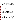performance utilizing only simple cleanup procedures, as directed by the manufacturer of the kit, for the four different matrices for each EDC of concern. Each sample will be analyzed both directly (prior to cleanup) and after SPE cleanup using the procedure detailed in the kit instructions and provided below. DIR (for direct) or SPE (for solid-phase extraction) will be added to the beginning of each sample name to distinguish them from each other. Each sample for ELISA analysis will be filtered through a 1μm glass fiber filter prior to direct analysis and SPE.

All sample bottles and glassware associated with hormone samples, including the glass carboy, will be cleaned and silanized using a standard procedure (see Appendix A). All sample bottles associated with NP samples will be new and will not need additional silanization. The glass carboy for NP sample preparation will be cleaned for reuse using a standard procedure (see Appendix B) and will not require additional silanization.

**Phase I:** DI super-Q water will be spiked by EPA NRMRL with a mixture of E2 and EE2 at a known concentration, while separate DI super-Q water will be spiked with nonylphenol (NP) at a known concentration. The estrogens and NP will be spiked in separate water samples due to differing cleanup/pre-concentration methods needed for these compounds. In one cleaned 20L, glass carboy, 20L of DI water will be prepared containing 10ng/L of E2 and 10ng/L of EE2. In a second, cleaned, 20L, glass carboy, 20L of de-ionized water will be prepared containing 30μg/L of NP. These concentrations were selected because they are on the higher end of the range of concentrations expected to be encountered in a real-world situation and are representative of the anticipated mid-range of the test kits. Both carboys will be thoroughly mixed, by inserting a stir bar and stirring on a stir plate at 300 revolutions per minute (rpm) for 2 hours, to ensure homogeneous concentrations of the each analyte throughout the carboy. These sample names will be DI-ES-LAB for hormones and DI-NP-LAB for APs. "LAB" will be replaced with the unique lab name. Laboratory names for labeling will be as follows: EPA NRMRL will be NR, EPA NERL Cincinnati will be NC, EPA NERL Las Vegas will be NV, USGS will be GS, EPA Region 3 will be R3, and EPA Region 5 will be R5. DI super-Q water blanks will also be prepared and shipped in separate 500mL bottles. The blank sample will be analyzed both directly (DIR) and after SPE (SPE) but only in two wells (or test tubes) on the kits as opposed to three wells (or test tubes) for all other samples. Before spiking, the DI water will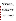be sampled and analyzed by GC-MS to confirm the background levels of E2, EE2, and NP. These sample names will be DI-ES-BKG for hormones and DI-NP-BKG for APs. Samples of the spiked mixtures will be taken and the concentrations of these samples and blank will be determined using immunoassay kits and the GC-MS methods.

There will be multiple users to analyze the spiked samples using the appropriate kits for E2, EE2 and AP, although only three of the six participating laboratories will use a particular kit, depending on the kit (see Table 1 for laboratory responsibilities). Two of the three laboratories will run duplicate kits while the third lab, EPA NRMRL, will run only one kit. Once samples are prepared and spiked by EPA NRMRL, the samples will be preserved on ice and shipped immediately to the appropriate users for analysis within 24 hours of receiving the sample.

The various "clean matrix" DI super-Q water samples will be spiked by personnel at EPA NRMRL as one large stock solution, split into smaller sub-samples, and then shipped on ice or freezer packs at 4<sup>o</sup>C to the appropriate laboratories for ELISA and GC-MS analysis. All sample bottles will be amber glass to prevent photodegradation of the analytes. Each laboratory that is participating in the ELISA analysis for a particular analyte will receive one 2.5L sample plus one 500mL DI water method blank. Each laboratory that is participating in the GC-MS analysis for a particular analyte will receive one 4L sample and one 1L DI water method blank to be processed by the GC-MS method. Note that the sample volumes required for the ELISA and GC-MS analyses are 500 mL and 1L, respectively. Since samples will be analyzed in triplicate, the total volume of sample provided (2.5L and 4L) will be larger than required, but this will be done to utilize convenient bottle sizes and to provide additional sample for re-analysis should that be necessary. The sample names for blanks will be DI-ES-BLK-1 for hormones and DI-NP-BLK-1 for APs. The DI water method blanks will be filled with DI super-Q water from the same source and at the same time as the DI water for the samples. The users will follow simple cleanup procedures as directed in the vendor's instructions. Kit operators will receive one 2.5L sample to be split into three 500mL aliquots. Each of those three aliquots will be analyzed by direct analysis utilizing only GFF cleanup, and by utilizing GFF cleanup and SPE. Each aliquot sample will be applied in triplicate to the ELISA kits for quantification, per the test kit protocols. Tests will be run within the appropriate concentration range of the specific ELISA kit and GC-MS methods.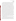Each sample for ELISA analysis will be filtered through a 1μm GFF prior to direct analysis and SPE. After filtering the estrogen (ES) sample, remove one 1260μL aliquot and add 140μL of methanol. This aliquot mixture will be used for direct analysis on the 96 well microtiter style E2 and EE2 kits and applied directly to three wells (100μL for each well) on each kit. There will be some leftover aliquot volume. Also, one 1600μL aliquot will be removed from the estrogen (ES) sample to be applied directly to three tubes (250μL for each well) in each magnetic particle style kit. There will be some leftover aliquot volume. These sample names will be DIR-DI-ES. Also filter the NP sample through a 1µm glass fiber filter. After filtering, remove one 712μL aliquot and add 8μL DMSO and 80μL methanol. This aliquot mixture will be used on the 96 well microtiter AP kit and applied directly to three wells (100 $\mu$ L for each well) in the 96 well microtiter style AP kit. There will be some leftover aliquot volume. Once all aliquots are removed for direct analysis, remove three 500mL aliquots for solid phase extraction (SPE). These three aliquots will be treated as three independent samples. Follow SPE directions entitled "Extractions for EE2 from Water Sample for ELISA" (see Appendix C) for hormone samples and "Flowchart: AP ELISA" (see Appendix D) for NP samples. Estrogen samples for use on 96 well microtiter estrogen kits will be reconstituted with 10mL of a 10% methanol solution (first 1mL methanol, vortex, then 9mL DI water). Estrogen samples for use on the E2 magnetic particle kit, remove 20uL from the aforementioned reconstitution and add this 20uL to 1980uL of DI water (total volume 2mL) for the E2 magnetic particle kits. There will be leftover aliquot volume. NP samples will be reconstituted with 40mL of 1% DMSO 10% methanol solution. All reconstituted samples will be applied to three wells (100μL for each well) on each 96 well microtiter style kit or three tubes (250μL for each tube) on each magnetic particle style kit according to the manufacturer's instructions. These sample names will be SPE-DI-1, 2, and 3. Samples on ELISA kits will be quantified by reading kit at 450 nm using a plate reader for the 96 well kits and tube style spectrophotometer for the magnetic particle kits following the manufacturer's instructions.

**Phase II:** Surface water will be collected from a stream in Ohio that is known to be free of E2, EE2, and APs. Before the surface water is spiked, a single sample of the collected surface water will be taken, split into triplicate aliquots, and analyzed by GC-MS to confirm the background levels of E2, EE2, and NP. (Background levels of analytes measured will later be added to the spiked concentration of analytes, if necessary, once results are obtained.) After the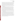background sample is taken, in a cleaned, 20L, glass carboy, 20L of the stream water will be prepared containing 10ng/L concentration of E2 and 10ng/L concentration of EE2. In a second, cleaned, 20L, glass carboy, 20L of the clean stream water will be prepared containing 30μg/L concentration of NP. Both carboys will be thoroughly mixed, by inserting a stir bar and stirring on a stir plate at 300 rpm for 2 hours, to ensure homogeneous concentration of the analyte throughout the carboy. Split samples will be taken. The DI water method blanks will be filled with DI water at the same time as the stream water in the 20L carboys. The same testing will be performed as in Phase I.

**Phase III:** Effluent discharges will be collected from a WWTP in Cincinnati, Ohio. Before spiking, a single sample of the effluent will be taken, split into triplicate aliquots, and analyzed by GC-MS to confirm the background levels of E2, EE2, and NP. In a cleaned, 20L, glass carboy, 20L of WWTP effluent will be prepared containing 10ng/L of E2 and 10ng/L of EE2. In a second, cleaned, 20L, glass carboy, 20L of the effluent water will be prepared containing 30μg/L concentration of NP. The carboys will be thoroughly mixed, by inserting a stir bar and stirring on a stir plate at 300 rpm for 2 hours, to ensure homogeneous concentration of the analyte throughout the carboy. Split samples will be collected. The same testing will be performed as in Phases I and II.

**Phase IV:** Influent samples will be collected from a WWTP in Cincinnati, Ohio. Before spiking, a single sample of the influent will be taken, split into triplicate aliquots, and analyzed by GC-MS to confirm the background levels of E2, EE2, and NP. In a cleaned, 20L, glass carboy, 20L of WWTP influent will be prepared containing 10ng/L concentration of E2 and 10ng/L concentration of EE2. In a second, cleaned, 20L, glass carboy, 20L of the influent water will be prepared containing 30μg/L concentration of NP. The carboys will be thoroughly mixed, by inserting a stir bar and stirring on a stir plate at 300 rpm for 2 hours, to ensure homogeneous concentration of the analyte throughout the carboy. Split samples will be collected. The same testing will be performed as in Phases I, II, and III.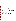#### **B1.2 Statistical Analysis**

The statistical methods and calculations used for evaluating quantitative performance parameters are described in the following sections. The performance of the ELISA test kit will be quantified by calculating measures of repeatability, reproducibility, and bias.

#### *B.1.2.1 Repeatability*

The performance of the ELISA test kit will be quantified by calculating measures of repeatability, reproducibility, and bias. Repeatability is a measure of the random variation that affects the precision of a method. As defined in this verification, it is a measure of the random variation between ELISA test kits measuring the same spiked sample within the same laboratory. Repeatability will be calculated in each phase using the following equation,

$$
\text{Repeatability} = \sum_{j=1}^{2} \sum_{i=1}^{2} (x_{ji} - \overline{x}_{j\bullet})^2 \tag{1}
$$

where  $j = 1$ , 2 denotes the laboratory and  $i = 1$ , 2 denotes the ELISA test kit within laboratory,  $x_{ii}$ is the ELISA concentration for the j<sup>th</sup> laboratory and the i<sup>th</sup> test kit, and  $\overline{x}_i$ <sup>t</sup> is the ELISA mean concentration of the  $i<sup>th</sup>$  laboratory.

#### *B1.2.2 Reproducibility*

Reproducibility is another measure of the random variation that affects the precision of a method. As defined in this investigation, reproducibility is a measure of the random variation between laboratories measuring the same spiked sample. Reproducibility will be calculated by the following equation,

Reproductibility = 
$$
\sum_{j=1}^{3} n_j (\overline{x}_{j\bullet} - \overline{\overline{x}}_{\bullet\bullet})^2
$$
 (2)

where  $j = 1, 2, 3$  denotes the laboratory,  $\overline{x}_j$  is the ELISA mean concentration for the  $j<sup>th</sup>$ laboratory,  $\overline{\overline{x}}_{\bullet}$  is the overall ELISA mean concentration of the three laboratories, and  $n_j$  is the number of measurements for the  $j<sup>th</sup>$  laboratory.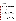The technology precision for each sample will be reported in terms of the relative standard deviation (RSD), which will be calculated by the standard deviation of the measurements over the average.

#### *B1.2.3 Percent Bias*

Bias is a systematic error that will cause measurements to err in one direction, either to high or low. A positive % Bias will indicate the ELISA concentration is higher than the reference method and a negative % Bias will indicate the ELISA concentration is lower than the reference method. Bias will be calculated for each measurement in each phase for each kit using the following equation,

$$
\% \text{ Bias} = \left[ \frac{x_{ji}}{y_n} - 1 \right] x 100 \tag{3}
$$

where  $j = 1, 2, 3$  denotes the laboratory,  $i = 1, 2$  denotes the ELISA test kit within laboratory, n = 1, 2 denotes the reference method,  $x_{ii}$  is the ELISA concentration for the j<sup>th</sup> laboratory and the i<sup>th</sup> test kit, yn is the concentration of the reference method GC/MS or the concentration of the spike.

# *B.1.2.4 Matrix Effects*

Matrix effects will be determined by comparing the percent bias measurements for the Phase I DI water samples to the percent bias measurements for the Phase II – IV samples. Percent bias will be determined as described in B.1.2.3. T-tests may be applied to the data to help determine whether the differences in percent bias measurements between the PT and environmental samples are significant. Matrix effects will also be considered using the percent bias results.

General observation of potential matrix effects, such as false negatives, if observed, will be documented and discussed but will not be used in statistical calculations. False negatives are defined as a negative (zero) response in a sample that is spiked with contaminant at a detectable concentration.

General observations on potential cross-reactivity will be documented. Blank samples of each matrix will be evaluated by GC-MS to determine background levels of the compounds with which the kits have cross-reactivity, as stated by the vendor. For some of compounds for which there is cross-reactivity, there may be no established analytical methods available by GC-MS to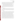detect these compounds at the concentrations and in the matrices evaluated per this test/QA plan. Blank samples of each matrix (i.e., not spiked with E2, EE2, or NP) will also be evaluated on the ELISA test kits to determine if any of the cross-reactive compounds present in the matrix (as determined through GC-MS analysis) might be interfering with the test kit results.

Percent recovery results will be presented on a per sample or per phase basis. Percent recovery results may be analyzed to provide another measure of accuracy to the end user.

A comparison of the ELISA results generated with and without the use of SPE will also be performed. This will evaluate whether the use of the more involved cleanup procedure was necessary/warranted with the ELISA test kits. Percent bias and/or a t-test will be used to evaluate these results.

# *B1.2.5 Operational Factors*

Operational factors will be determined based on documented observations of the testing staff and the Verification Test Coordinator. Operational factors will be described qualitatively, not quantitatively; therefore, no statistical approaches will be applied to the operational factors.

#### **B1.3 Reporting**

The data obtained in the verification test will be compiled separately for each technology, and the data evaluations will be applied to each technology's data set without reference to any other technology. At no time will data from different technologies be intercompared or ranked. Following completion of the data evaluations, a draft verification report and verification statement will be prepared for each test kit stating the verification test procedures and documenting the performance observed. For example, descriptions of the data acquisition procedures, consumables used, repairs and maintenance needed, and the nature of any problems will be presented in the draft report. Each report will briefly describe the ETV Program, the AMS Center, and the procedures used in verification testing. The results of the verification test will be stated quantitatively, without comparison to any other technology tested, or comment on the acceptability of the technology's performance. Each draft verification report will be submitted for review by the technology vendor and by EPA and other peer reviewers. Comments on the draft report will be addressed in revisions of the report. The peer review comments and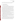<span id="page-33-0"></span>responses will be tabulated to document the peer review process. The reporting and review process will be conducted according to the requirements of the AMS Center QMP.

## **B2 SAMPLING REQUIREMENTS**

#### **B2.1 Sample Collection, Storage and Shipment**

All samples are assumed to contain the same concentration due to thorough mixing of each carboy. All samples will be shipped by NRMRL, immediately after being made, in coolers on ice or freezer packs to maintain a  $4^{\circ}$ C temperature. When samples are received by each laboratory, the condition of the samples, i.e., temperature, broken bottles etc., will be noted by the receiving laboratory operator and then immediately placed in a refrigerator at  $4^{\circ}$ C until analyzed. Holding times of hormones and AP samples are currently unknown, therefore, all samples will be analyzed, or at a minimum solvent exchanged, within 24 hours of receipt. All laboratories performing quantitative analysis, ELISA or GC-MS, will receive split samples from the same bulk sample and will analyze them within 24 hours to reduce error associated with analyte degradation during sample holding. This shipping, receiving, and holding time procedure described in this section applies to all phases of this verification test.

**Phase I:** During Phase I, a 40L grab sample of Super O water will be collected in two cleaned, 20L, glass carboys from the USEPA laboratory in Cincinnati, Ohio. One carboy will be used for spiking with hormones and the other will be used for spiking with NP.

**Phase II:** During Phase II, a grab sample of stream water will be collected in three, clean, five gallon buckets from the South Hasha Tributary to Eastfork Lake in Clermont County, Ohio. The tributary will be accessed from where it crosses Williamsburg-Bantam Road. Once the sample is transported back to the laboratory, 40L of the stream water will be measured out and transferred into the two, clean, 20L carboys.

**Phase III:** During Phase III, a grab sample of final effluent wastewater will be collected in three, clean, five gallon buckets from the Metropolitan Sewer District of Greater Cincinnati in Hamilton County, Ohio. Once the sample is transported back to the NRMRL laboratory, 40L of the effluent will measured out and then transferred into the two, clean, 20L carboys. Amber glass will be used to ensure that the WWT samples do not degrade due to light exposure.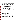<span id="page-34-0"></span>**Phase IV:** During Phase IV, a grab sample of influent wastewater will be collected in three, clean, five gallon bucket from the Metropolitan Sewer District of Greater Cincinnati in Hamilton County, Ohio. Once the sample is transported back to the NRMRL laboratory, 40L of the influent will be measured out and transferred into the two 20L carboys. Effluent water samples will be collected in 2.5L amber glass containers from the carboys to be shipped by NRMRL to all participating laboratories. Amber glass will be used to ensure that the WWT samples do not degrade due to light exposure.

#### **B3 SAMPLE HANDLING AND CUSTODY REQUIREMENTS**

All samples produced by EPA NRMRL will be packaged and shipped by NRMRL to the respective laboratories for analysis, one shipment for each phase. All samples will be shipped in coolers on ice or freezer packs to maintain a  $4 \pm 2$ °C temperature. When samples are received by each laboratory, the condition of the samples, i.e., temperature, broken bottles etc. will be noted and then immediately placed in a refrigerator at  $4 \pm 2$ °C until analyzed. Chain-of-custody (COC) records will be initiated at EPA NRMRL and transferred with the samples to analysts. The grab sample collected will be placed in shipping containers with adequate amounts of ice or freezer packs to maintain samples at  $4 \pm 2$ °C. All samples received at each analyst laboratory from NRMRL will be inspected, logged, and immediately placed in cold storage (4°C refrigeration) upon receipt. Any problems observed with the samples upon receipt (e.g. leaking, broken, outside of temperature, missing chain-of-custody, missing sample labels, etc.) will be noted in the sample log book and those notes transferred to NRMRL.

#### **B4 QUALITY CONTROL**

Steps will be taken to maintain the quality of data collected during this verification test. This will include analyzing specific quality control samples (QCS) at a regular frequency. QCSs will include standard solutions, prepared as described in the ELISA test kit instructions. Standard solutions help to assess the proper performance of the test kit and also are essential in estimating the concentration of a given test sample. Method blank samples (DI water) will also be evaluated with each batch of hormone and AP samples for each phase of this test. MB samples will be used to help ensure that no sources of contamination are introduced in the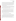<span id="page-35-0"></span>sample handling and analysis procedures. MB samples will be analyzed directly on the ELISA test kits as well as after they have gone through any preparation procedures (filter and SPE cleanup) to verify that any clean-up procedures used are not introducing any potential contamination into the sample. QCSs producing results that do not meet the anticipated results specified by the vendor will be reanalyzed and corrective action taken if needed to ensure that test sample results are not affected. Corrective actions may include reanalyzing samples to verify that the technology has been operated properly.

Quality controls and corrective actions for any reference analyses conducted are provided in Table 3. MB samples will also be included in the GC-MS analysis to ensure that no sources of contamination have been introduced. Blanks for GC-MS analysis will include instrument blanks, laboratory blanks, method (procedural) blanks, and DI water blanks.

## **B5 INSTRUMENT/EQUIPMENT TESTING, INSPECTION, AND MAINTENANCE**

The equipment used by the participating laboratories will be tested, inspected, and maintained as per the standard operating procedures of the respective laboratory and/or the manufacturer's recommendations, or those stated in this TQAP, so as to meet the performance requirements established in this document. When technical staff operate and maintain the microplate readers and spectrophotometers used to read the technology results, those activities will follow directions provided by the technology vendor.

## **B6 CALIBRATION/VERIFICATION OF TEST PROCEDURES**

The GC-MS used for reference analyses will be calibrated as appropriate and as stated in the SOP for each participating laboratory responsible for reference analysis. All plate readers and spectrophotometers used to read the microplates and tubes from the different ELISA test kits will be calibrated as appropriate and as specified in the vendor's instructions. Plate readers and spectrophotometers will be recalibrated as needed and as appropriate according to the manufacturer's instructions. All calibrations will be documented as appropriate by the technical staff.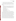# <span id="page-36-0"></span>**B7 INSPECTION/ACCEPTANCE OF SUPPLIES AND CONSUMABLES**

In general, this verification test relies on the materials and equipment provided by the vendors. Battelle, EPA NRMRL, and the participating laboratories will provide the following equipment and materials needed for the preparation of the performance test, environmental and QC samples:

- DI water
- various laboratory supplies necessary for accurate preparation of the test samples and subsequent dilutions (i.e., volumetric pipets; pipet bulbs; Eppendorf micro pipettes and pipette tips, or equivalent; volumetric flasks; disposable pipets; balances; etc.)
- reference standards with a known level of purity for target analytes NIST traceable, or equivalent if available
- carboy and glass sample containers
- equipment and consumables for the GC-MS
- personal protective equipment
- equipment and supplies necessary for shipping samples
- SPE columns and glass fiber filters

All materials, supplies, and consumables will be ordered by EPA NRMRL with the exception of performance evaluation materials which will be ordered by Battelle or NRMRL. Where possible, EPA NRMRL will rely on material and consumable sources that have been used previously without problems. Battelle will also rely on previous experience or recommendations from EPA advisors, stakeholders, test collaborators, subcontractors, or technology vendors. Upon receipt of any supplies or consumables, EPA NRMRL will visually inspect and ensure that the materials received are those that were ordered and that there are no visual signs of damage that could compromise the suitability of the materials. If damaged or inappropriate goods are received, they will be returned or disposed of and arrangements will be made to receive replacement materials. Certificates of analysis (COA) or other documentation of analytical purity will be checked for all reagents and standards to ensure suitability for the verification test and a copy will be stored with the test files. Where possible, reagents (i.e., HPLC grade water, sulfuric acid, etc.) used to prepare standards will be checked for background contamination prior to their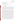<span id="page-37-0"></span>use. Unsuitable materials will be returned or disposed of and arrangements for the receipt of replacement materials will be made.

#### **B8 NON-DIRECT MEASUREMENTS**

Non-direct measurements will not be used during this verification test.

# **B9 DATA MANAGEMENT**

Various types of data will be acquired and recorded electronically or manually during the verification test. Table 4 summarizes the types of data to be recorded. All maintenance activities, repairs, calibrations, and operator observations relevant to the technology operation will be documented by technical staff in LRBs or on data sheets. Results from the reference methods, including raw data, analyses, and final results, will be compiled by EPA NRMRL and forwarded to Battelle.

Each data package received from individual participating laboratories will be validated by the designated project principal investigators (PIs). The PIs for this project include Eric Kleiner (PI) and Marc Mills (co-PI) from U.S. EPA NRMRL in Cincinnati, OH, and Jennifer Gunderson (co-PI) and Dave Russell (co-PI) from U.S. EPA Region 3 in Fort Meade, MD. Data are assessed for completeness and compliance to determine the adequacy of the data to meet the project DQOs. During data validation, the laboratory performance is assessed against prescriptive requirements and subjective requirements. Evaluation of laboratory performance against prescriptive requirements is assessed through the acceptability of QC sample results that are independent of sample matrix (method blanks, laboratory control samples, and reference tests). An assessment of the subjective requirements involves identification of potential matrix effects, and consists of an evaluation of the analytical results and the results of analytical triplicates and matrix spike samples. The QA review report will include a narrative that details QC exceedances and discusses potential data quality impacts. Data qualification "flags" will be applied by the laboratory for data that do not meet quality criteria. Data validation results that meet subjective requirements will be presented in the verification report and statement.

In addition, any calculations performed by technical staff will be spot-checked by the Battelle Verification Test Coordinator to ensure that calculations are performed correctly.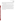Calculations to be checked include any statistical calculations described in this test/QA plan. The data obtained from this verification test will be compiled and reported independently for each technology. Results for technologies from different vendors will not be compared with each other, per ETV program guidelines.

Among the QA activities conducted by Battelle Quality Manager will be a technical systems audit (TSA) and an audit of data quality (ADQ). The TSA will involve Battelle QA staff observing the testing and compliance to the TQAP. The ADQ will consist of a review by the Battelle Quality Manager (or his designee) of at least 10% of the test data. During the course of any such audit, the Battelle Quality Manager will inform the Battelle Verification Test Coordinator of any findings and any need for immediate corrective action. Once the assessment reports have been prepared for each audit, the Verification Test Coordinator will ensure that a response is provided for each adverse finding or potential problem, and will implement any necessary follow-up corrective action. The Battelle Quality Manager will ensure that follow-up corrective action has been taken.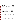# **SECTION C ASSESSMENT AND OVERSIGHT**

#### <span id="page-39-0"></span>**C1 ASSESSMENTS AND RESPONSE ACTIONS**

Every effort will be made in this verification test to anticipate and resolve potential problems before the quality of performance is compromised. One of the major objectives of this test/QA plan is to establish mechanisms necessary to ensure this. Internal quality control measures described in this test/QA plan, which is peer reviewed by a panel of outside experts, implemented by the technical staff and monitored by the Verification Test Coordinator and EPA NRMRL coordinator, will give information on data quality on a day-to-day basis. The responsibility for interpreting the results of these checks and resolving any potential problems resides with the EPA NRMRL Coordinator, Eric Kleiner. Technical staff have the responsibility to identify problems that could affect data quality or the ability to use the data. Any problems that are identified will be reported to the EPA NRMRL Coordinator, who will work with the Battelle Verification Test Coordinator and/or the Battelle Quality Manager to resolve any issues. Action will be taken to control the problem, identify a solution to the problem, and minimize losses and correct data, where possible. Independent of any EPA QA activities, Battelle will be responsible for ensuring that the following audits are conducted as part of this verification test.

#### **C1.1 Performance Evaluation Audits**

A Performance Evaluation (PE) audit will be conducted to assess the quality of the reference method measurements (GC-MS analyses) made in this verification test. The reference method PE audit will be performed by supplying an independent, NIST-traceable solid standard, if available, or at a minimum a second standard solution of E2, EE2, and NP prepared from a different source other than that used in verification testing. If a different source is unavailable for these compounds, then standards of E2, EE2, and NP may be prepared from the same source as that used during testing. In this case, standards will be prepared either at Battelle Columbus laboratories and shipped to NRMRL for distribution or by NRMRL using different concentrations than those used in the regular reference samples. The PE audit samples will be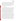analyzed in the same manner as all other samples and the analytical results for the PE audit samples will be compared to the nominal concentration. The target criterion for this PE audit is agreement of the analytical result within 30% of the expected concentration. If the PE audit result does not meet the target criterion, the PE audit will be repeated. If the outlying results persist, the source of error will be investigated and corrective action taken as necessary until successful PE audit results are obtained. This audit will be performed once during testing, and will be the responsibility of the Verification Test Coordinator or designee.

## **C1.2 Technical Systems Audits**

The Battelle Quality Manager or designee will perform a TSA at least twice during this verification test. TSAs will be conducted at random points in the study. Because the round robin study is taking place in multiple laboratories across the country, Battelle's Quality Manager will only visit two laboratories for in-person TSAs. Based on the EDCs being analyzed at each site, Battelle will conduct TSAs at the Cincinnati, OH and Fort Meade, MD facilities. Both laboratories participating in the round robin study in Cincinnati, OH will be audited. Other TSAs that may be performed by the Battelle Quality Manager designee (such as a quality manager from other participating laboratories) will be coordinated and monitored by the Battelle Quality Manager, with all TSA findings being reported to the Battelle Quality Manager.

The purpose of this audit is to ensure that the verification test is being performed in accordance with the AMS Center QMP<sup>1</sup>, this test/QA plan, any published reference methods, testing protocol, and any Standard Operating Procedures (SOPs) used. In the TSA, the Battelle Quality Manager, or a designee, may review the reference methods used, compare actual test procedures to those specified or referenced in this plan, and review data acquisition and handling procedures. In the TSA, the Battelle Quality Manager or designee will tour the laboratory where verification and reference testing are taking place, inspect sample COC documentation, and review technology-specific record books. He or she will also check standard certifications and technology data acquisition procedures, and may confer with the technology vendors and technical staff. A TSA report will be prepared, including a statement of findings and the actions taken to address any adverse findings. The EPA NRMRL Director of QA will receive a copy of Battelle's TSA report. At EPA's discretion, EPA QA staff may also conduct an independent on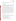site TSA during the verification test. The TSA findings will be communicated to technical staff at the time of the audit and documented in a TSA report.

#### **C1.3 Data Quality Audits**

The Battelle Quality Manager or his designee will audit at least 10% of the verification data acquired in the verification test. The Battelle Quality Manager will trace the data from initial acquisition, through reduction and statistical comparisons, to final reporting. All calculations performed on the data undergoing the audit will be checked.

Each data package received from the laboratory will be validated by the Project PIs to assess compliance with the reference method data quality criteria defined in Table 3 . Data are assessed for completeness and compliance to determine the adequacy of the data to meet the project objectives. During data validation, the laboratory performance is assessed against prescriptive requirements and subjective requirements. Evaluation of laboratory performance against prescriptive requirements is assessed through the acceptability of QC sample results that are independent of sample matrix (method blanks, laboratory control samples, and reference tests). An assessment of the subjective requirements involves identification of potential matrix effects, and consists of an evaluation of the analytical results and the results of analytical triplicates and matrix spike samples. The QA review report will include a narrative that details QC exceedances and discusses potential data quality impacts. Data qualification "flags" will be applied by the laboratory for data that do not meet quality criteria.

#### **C1.4 QA/QC Reporting**

Each assessment and audit will be documented in accordance with Section 3.3.4 of the AMS Center QMP<sup>1</sup>. The results of the technical systems audit will be submitted to EPA. Assessment reports will include the following:

- Identification of any adverse findings or potential problems
- Response to adverse findings or potential problems
- Recommendations for resolving problems
- Confirmation that solutions have been implemented and are effective
- Citation of any noteworthy practices that may be of use to others.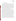## <span id="page-42-0"></span>**C2 REPORTS TO MANAGEMENT**

The Battelle Quality Manager, during the course of any assessment or audit, will identify to the technical staff performing experimental activities any immediate corrective action that should be taken. If serious quality problems exist, the Battelle Quality Manager is authorized to request that Battelle's AMS Center Manager issue a stop work order. Once the assessment report has been prepared, the Verification Test Coordinator will ensure that a response is provided for each adverse finding or potential problem and will arrange for implementation of any necessary follow-up corrective action. The Battelle Quality Manager will ensure that follow-up corrective action has been taken. The test/QA plan and final report will be reviewed by the EPA NRMRL Director of QA and EPA AMS Center Project Officer. Upon final review and approval, both documents will then be posted on the ETV website ([www.epa.gov/etv](http://www.epa.gov/etv)).

An effective Quality System requires prompt and thorough correction of nonconformance conditions that can affect quality. Rapid and effective corrective action minimizes the possibility of questionable data or documentation. Corrective action procedures for this project depend on the severity of the nonconformance condition. In cases in which immediate and complete corrective action is implemented by project personnel, the corrective action will be recorded in the appropriate log book. Non-conformance conditions which could have an impact on project data quality must be communicated to the EPA NRMRL Coordinator within 24 hours. These issues will then be relayed to the Battelle Verification Test Coordinator or Battelle Quality Manager. These types of issues require a formal corrective action and root cause analysis. The PIs, EPA QA Officer, or Battelle Quality Manager can require laboratory activities to be limited or discontinued until the corrective action is complete and the non-conformance issue has been eliminated. Laboratory corrective action procedures are defined in each participating laboratory's QA manual and SOPs. The Quality Assurance Officer at each organization is responsible for verifying that corrective action is implemented according to internal laboratory policies and this test QA/plan. The individual laboratory PIs are responsible for investigating and implementing test-level corrective actions to address errors or deviations in the laboratory.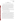# **SECTION D DATA VALIDATION AND USABILITY**

#### <span id="page-43-0"></span>**D1 DATA REVIEW, VALIDATION, AND VERIFICATION REQUIREMENTS**

The key data review requirements for the verification test are stated in Section B10 of this test/QA plan. In general, the data review for each data package received from individual participating laboratories will be validated by the designated laboratory PI before being sent to NRMRL or the Verification Test Coordinator. This process will serve both as the data review and the data verification, and will ensure that data have been recorded, transmitted, and processed properly. Furthermore, this process will ensure that the ELSIA test kit data and the reference method data are collected under appropriate testing conditions and that the reference method data meet the reference method specifications.

The critical measurements for the reference laboratories listed in Table 3 will be used to validate the data quality. The QA audits described within Section C of this document, including the data quality audit, are designed to validate the data quality.

#### **D2 VALIDATION AND VERIFICATION METHODS**

Data verification is conducted as part of the data review, as described in Section B10 for this test/QA plan. Each data package received from individual participating laboratories will be validated by the designated laboratory PIs. A visual inspection of handwritten data will be conducted to ensure that all entries were properly recorded or transcribed, and that any erroneous entries were properly noted (i.e., single line through the entry with an error code and the initials of the recorder and date of entry). Data manually incorporated into spreadsheets for use in calculations will be checked against handwritten data to ensure that transcription errors have not occurred. All calculations will be reviewed to ensure the accuracy and the appropriateness of the calculations. Calculations performed manually will be reviewed and repeated using a handheld calculator or commercial software (e.g., Excel). Calculations performed using standard commercial office software (e.g., Excel) will be reviewed by inspecting the equations used in calculations and verifying selected calculations by handheld calculator. Calculations performed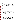<span id="page-44-0"></span>using specialized commercial software (i.e., for analytical instrumentation) will be reviewed by inspection and, when feasible, verified by handheld calculator, or standard commercial office software.

To ensure that the data generated from this test meet the goals of the test, a number of data validation procedures will be performed. Section C of this test/QA plan provides a description of the validation safeguards employed for this verification test. Data validation and verification efforts include the completion of QC activities and the performance of TSA audits as described in Section C. Data failing to meet the criteria in Table 3 will be flagged in the data set and not used for evaluation of the technologies, unless these deviations are accompanied by descriptions of their potential impacts on the data quality.

A data quality audit or review will be conducted by the Battelle Quality Manager or designated individual laboratory PIs to ensure that data review, verification, and validation procedures were completed, and to assure the overall data quality.

## **D3 RECONCILIATION WITH USER REQUIREMENTS**

The purpose of a verification test performed following this test/QA plan is to evaluate the performance of commercial ELISA test kit technologies which screen for endocrine disruptors in water. This evaluation will include comparisons of the results from each technology to results from standard reference techniques. To meet the requirements of the user community, the data obtained in such a verification test will include thorough documentation of the technology's performance during the verification test. The data review, verification, and validation procedures described above will assure that verification test data meet these requirements, are accurately presented in the verification reports generated from the test, and that data not meeting these requirements are appropriately flagged and discussed in the verification reports. Additionally, all data generated using the reference method, which are used to evaluate technology results during the verification test, should meet the QA requirements of any applicable standard operating procedures or instrumentation instruction manuals.

This test/QA plan and any resulting ETV verification report(s) generated following procedures described in this test/QA plan will be subjected to review by participating technology vendors, ETV AMS center staff, test collaborators, EPA, and external expert peer reviewers.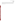These reviews will assure that this test/QA plan, verification test(s) of ELISA test kits, and the resulting report(s) meet the needs of potential users and regulators. The final report(s) will be submitted to EPA in 508 compliant adobe portable document format (pdf) and subsequently posted on the ETV website.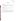# **SECTION E REFERENCES**

# <span id="page-46-0"></span>**E1 REFERENCES**

- 1. Quality Management Plan (QMP) for the ETV Advanced Monitoring Systems Center, U.S. EPA Environmental Technology Verification Program, prepared by Battelle, Columbus, Ohio, Version 6.0, November 2005.
- 2. "Environmental Technology Verification Program Quality Management Plan" (QMP), January 2008, EPA 600/R-08/009.
- 3. Standard Operating Procedure (SOP) for the Analysis of Steroid Hormones in Aqueous Samples, QA ID 503-P3-0, 09/29/05.
- 4. Analysis of Nonylphenol (NP), Nonylphenol Monoethoxylate (NP1EO), Nonylphenol Diethoxylate (NP2EO), Bisphenol A and 4-(Tert-Octyl) Phenol (Octylphenol) in Water by Selected Ion Monitoring Gas Chromatography/Mass Spectrometry (GC/MS-SIM) with Large Volume Injection, CRL SOP Number GCMS004-013106 for APs, 01/31/06.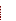**Appendix A Cleaning and Silanization Protocol for Glassware**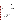#### **Cleaning and Silanization Protocol for Glassware**

| Procedures<br>Used Vials and Beakers |                                                                                                                                                                                                                                                                                                                                                                                                                                                                                                                                                                                            | New Ordered Vials, beakers<br>and Volumetric Flasks                                                                                                                          | Used Volumetric Flasks and<br>Pipets                                                                                                                                                                                                                                                                                                                                                                                                         |
|--------------------------------------|--------------------------------------------------------------------------------------------------------------------------------------------------------------------------------------------------------------------------------------------------------------------------------------------------------------------------------------------------------------------------------------------------------------------------------------------------------------------------------------------------------------------------------------------------------------------------------------------|------------------------------------------------------------------------------------------------------------------------------------------------------------------------------|----------------------------------------------------------------------------------------------------------------------------------------------------------------------------------------------------------------------------------------------------------------------------------------------------------------------------------------------------------------------------------------------------------------------------------------------|
| Clean                                | Put small items in a .5 or 1 L<br>beaker. Soak in hot water with<br>*detergent and sonicate for 15<br>minutes. Rinse with hot water four<br>times and then rinse with D. I. Water<br>four times.                                                                                                                                                                                                                                                                                                                                                                                           | <b>NA</b>                                                                                                                                                                    | Soak in Hot water with<br>*detergent for one hour and<br>rinsed with hot water six times<br>and D. I. water four times.<br>individually.                                                                                                                                                                                                                                                                                                     |
| Oven                                 | Cover items with watch glass or<br>aluminum foil and dry at 105 °C in<br>the oven.                                                                                                                                                                                                                                                                                                                                                                                                                                                                                                         | <b>NA</b>                                                                                                                                                                    | Dry at 105 °C in the oven<br>wrapped or capped with<br>aluminum foil.                                                                                                                                                                                                                                                                                                                                                                        |
| Solvent Rinse                        | Methanol rinse four times and let<br>them dry at 105 °C in the oven.                                                                                                                                                                                                                                                                                                                                                                                                                                                                                                                       | Subsequently rinse with DCM,<br>acetone, and methanol (one<br>time for each solvent), and dry<br>the in the hood loosely covered,<br>finish drying at 105 °C in the<br>oven. | Subsequently rinse with<br>DCM, acetone, and methanol<br>(3 times for each solvent) and<br>air out in the hood, then dry<br>them in a oven at $105^{\circ}$ C.                                                                                                                                                                                                                                                                               |
| Muffle Furnace                       | Bake at 550 °C for at lest 6 hours.<br>Then cooling down for 30 minutes.                                                                                                                                                                                                                                                                                                                                                                                                                                                                                                                   | <b>NA</b>                                                                                                                                                                    | <b>NA</b>                                                                                                                                                                                                                                                                                                                                                                                                                                    |
| Deactivatation                       | Use a clean beaker or other<br>container to soak vials with<br>silanizing reagent (Sylon CT) for two<br>or more minutes (with a glass<br>cover). Shake it several times and<br>make sure there are no bubbles in<br>the vials. Decant and store the<br>reagent in a clean bottle for re-use If<br>the reagent stays clean and without<br>water. Rinse the items three times<br>with toluene, then four times with<br>methanol (until the rinsings are<br>neutral). Let sit in the hood for one<br>hour and emit the solvent, then dry<br>it at 105 °C in the oven for 15 to 30<br>minutes. | Use the procedure at left for<br>new vials and small beakers,<br>and use the procedure at right<br>for volumetric flasks and bigger<br>beakers.                              | Pour the silanizing reagent<br>(Sylon CT) into the flask, roll<br>that glass to make sure all<br>surfaces are contacted or fill<br>and let sit 1-2 minutes. Drain<br>the reagent into a clean bottle<br>for reuse. Rinse three times<br>with toluene and then four<br>times with methanol (until the<br>rinsings are neutral). Put the<br>flask in the hood for 15<br>minutes and emit the solvent.<br>then dry it at 105 °C in the<br>oven. |

\* Detergent such as powdered Alconox, Deto-Tet, Luminox or citrojet can be used. Detergents containing alkylphenolic compounds must not be used.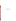**Appendix B** 

**Procedure for Preparation of 20L Glass Carboys**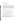- Rinse out carboy with water.
- Place Teflon stopper inside the carboy.
- Flush carboy with hot water for 15 minutes. Insert tubing from hot water outlet into carboy neck to base of carboy so that the water swishes up the side of the carboy. Close off carboy outlet valve with finger until hot water reaches neck of carboy. Release finger. Adjust flow of water so that influent equals outflow from carboy. Maintain this equilibrium for 15 minutes. Drain all hot water from carboy.
- Repeat above procedure with house distilled water.
- Remove teflon stopper from carboy. Place in carboy spigot.
- Rinse carboy 3x with ~250-300 ml Reagent Grade Alcohol.
- Remove teflon stopper. Rinse with alcohol. Place in beaker covered with aluminum foil. Do not muffle stopper.
- Cover neck opening and outlet of carboy with alcohol rinsed aluminum foil. Label and date carboy.

To Muffle: Remove tape from carboy. Place in muffle oven. After oven reaches 400°, muffle for one hour. Oven door may be opened when temperature reaches 100°. Remove carboy when cool, label, date and initial. Leave foil on carboy until ready to use.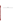**Appendix C** 

**Extractions for EE2 from Water Sample for ELISA for hormone samples**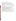# Extractions of EE2 from Water Sample for ELISA

- 1. Filter the raw water samples with glass fiber filter (pore size: 1 micrometer)
- *If the pH of the filtrate ranges out of 5-8, adjust it to 5-8 with 1M acetic acid buffer (pH=5.0).*
- 2. Nexus SPE cartridge is preconditioned with 5 mL dichloromethane, and then 5 mL methanol followed by 10mL water on the SPE manifold under vacuum with flow control (ca.10 mL/min).
- *For solid phase extraction (SPE) cartridge, Nexus (Varian), 500 mg of styrene divinyl benzene sorbent, 6 mL reservoir is used.*
- 3. The sample is applied to the cartridge via a Teflon tube and adaptor under the same flow rate of ca. 10 mL/min.
- 4. The cartridge is rinsed with 5mL water, and then 5mL water/methanol (50/50 % v/v).
- 5. After drying the cartridge under vacuum for 2 min, EE2 is eluted with 6mL of dichloromethane in the glass vial with a flow rate of 3 to 5 mL/min.
- 6. The extract is evaporated under a gentle nitrogen stream at 40 to  $50^{\circ}$ C. Then, the vial is capped and stored at  $4^{\circ}$ C until the assay is performed.
- 7. When the sample is analyzed with ELISA, 100% methanol is added to the vial and vigorously mixed with vortex mixer, and then followed by distilled water to give a 10% aqueous methanol solution.
- *For example, 100 micro L of methanol is added to the vial and vigorously mixed with vortex mixer, and then followed by 900 micro L of water to give a 10 % aqueous methanol solution of 1 mL volume.*
- *If there remains undissolved residue, add 100% DMSO and MeOH to adjust the ration at 1%DMSO and 10%MeOH solution. The solvent for standards also need to adjusted at 1%DMSO and 10%MeOH in this case.*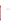**Appendix D Flowchart: AP ELISA for NP samples**